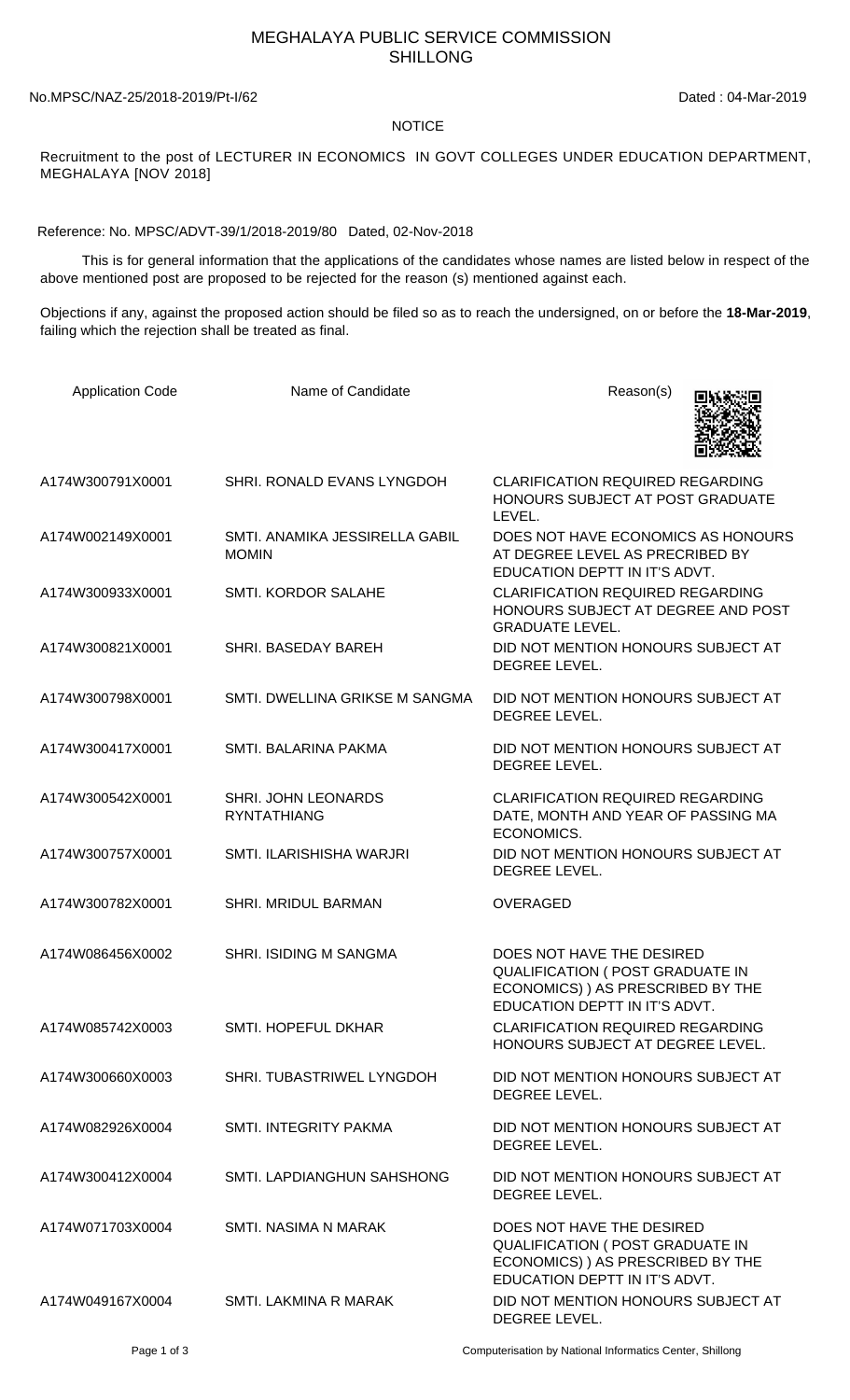## MEGHALAYA PUBLIC SERVICE COMMISSION SHILLONG

No.MPSC/NAZ-25/2018-2019/Pt-I/62 Dated : 04-Mar-2019

## NOTICE

Recruitment to the post of LECTURER IN ECONOMICS IN GOVT COLLEGES UNDER EDUCATION DEPARTMENT, MEGHALAYA [NOV 2018]

Reference: No. MPSC/ADVT-39/1/2018-2019/80 Dated, 02-Nov-2018

 This is for general information that the applications of the candidates whose names are listed below in respect of the above mentioned post are proposed to be rejected for the reason (s) mentioned against each.

Objections if any, against the proposed action should be filed so as to reach the undersigned, on or before the **18-Mar-2019**, failing which the rejection shall be treated as final.

| <b>Application Code</b> | Name of Candidate                              | Reason(s)                                                                                                                           |
|-------------------------|------------------------------------------------|-------------------------------------------------------------------------------------------------------------------------------------|
| A174W300791X0001        | SHRI. RONALD EVANS LYNGDOH                     | <b>CLARIFICATION REQUIRED REGARDING</b><br>HONOURS SUBJECT AT POST GRADUATE<br>LEVEL.                                               |
| A174W002149X0001        | SMTI. ANAMIKA JESSIRELLA GABIL<br><b>MOMIN</b> | DOES NOT HAVE ECONOMICS AS HONOURS<br>AT DEGREE LEVEL AS PRECRIBED BY<br>EDUCATION DEPTT IN IT'S ADVT.                              |
| A174W300933X0001        | SMTI. KORDOR SALAHE                            | <b>CLARIFICATION REQUIRED REGARDING</b><br>HONOURS SUBJECT AT DEGREE AND POST<br><b>GRADUATE LEVEL.</b>                             |
| A174W300821X0001        | SHRI. BASEDAY BAREH                            | DID NOT MENTION HONOURS SUBJECT AT<br>DEGREE LEVEL.                                                                                 |
| A174W300798X0001        | SMTI. DWELLINA GRIKSE M SANGMA                 | DID NOT MENTION HONOURS SUBJECT AT<br>DEGREE LEVEL.                                                                                 |
| A174W300417X0001        | SMTI. BALARINA PAKMA                           | DID NOT MENTION HONOURS SUBJECT AT<br>DEGREE LEVEL.                                                                                 |
| A174W300542X0001        | SHRI. JOHN LEONARDS<br><b>RYNTATHIANG</b>      | <b>CLARIFICATION REQUIRED REGARDING</b><br>DATE, MONTH AND YEAR OF PASSING MA<br>ECONOMICS.                                         |
| A174W300757X0001        | SMTI. ILARISHISHA WARJRI                       | DID NOT MENTION HONOURS SUBJECT AT<br>DEGREE LEVEL.                                                                                 |
| A174W300782X0001        | SHRI. MRIDUL BARMAN                            | <b>OVERAGED</b>                                                                                                                     |
| A174W086456X0002        | SHRI. ISIDING M SANGMA                         | DOES NOT HAVE THE DESIRED<br>QUALIFICATION ( POST GRADUATE IN<br>ECONOMICS) ) AS PRESCRIBED BY THE<br>EDUCATION DEPTT IN IT'S ADVT. |
| A174W085742X0003        | SMTI. HOPEFUL DKHAR                            | <b>CLARIFICATION REQUIRED REGARDING</b><br>HONOURS SUBJECT AT DEGREE LEVEL.                                                         |
| A174W300660X0003        | SHRI. TUBASTRIWEL LYNGDOH                      | DID NOT MENTION HONOURS SUBJECT AT<br>DEGREE LEVEL.                                                                                 |
| A174W082926X0004        | <b>SMTI. INTEGRITY PAKMA</b>                   | DID NOT MENTION HONOURS SUBJECT AT<br>DEGREE LEVEL.                                                                                 |
| A174W300412X0004        | SMTI. LAPDIANGHUN SAHSHONG                     | DID NOT MENTION HONOURS SUBJECT AT<br>DEGREE LEVEL.                                                                                 |
| A174W071703X0004        | SMTI. NASIMA N MARAK                           | DOES NOT HAVE THE DESIRED<br>QUALIFICATION ( POST GRADUATE IN<br>ECONOMICS) ) AS PRESCRIBED BY THE<br>EDUCATION DEPTT IN IT'S ADVT. |
| A174W049167X0004        | SMTI. LAKMINA R MARAK                          | DID NOT MENTION HONOURS SUBJECT AT<br>DEGREE LEVEL.                                                                                 |

Page 1 of 3 Computerisation by National Informatics Center, Shillong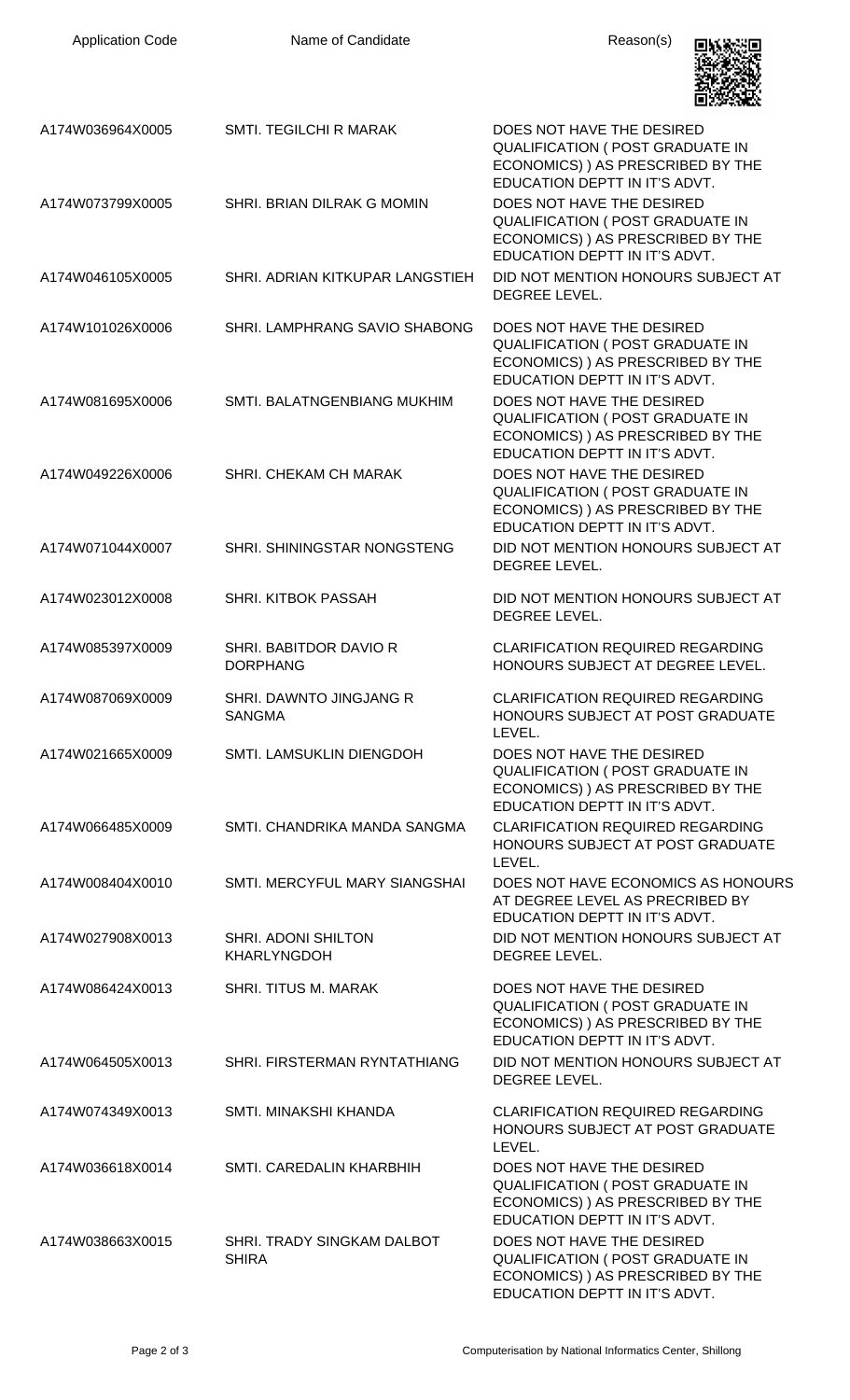| <b>Application Code</b> | Name of Candidate                                | Reason(s)                                                                                                                                  |
|-------------------------|--------------------------------------------------|--------------------------------------------------------------------------------------------------------------------------------------------|
| A174W036964X0005        | <b>SMTI. TEGILCHI R MARAK</b>                    | DOES NOT HAVE THE DESIRED<br><b>QUALIFICATION ( POST GRADUATE IN</b><br>ECONOMICS) ) AS PRESCRIBED BY THE<br>EDUCATION DEPTT IN IT'S ADVT. |
| A174W073799X0005        | SHRI. BRIAN DILRAK G MOMIN                       | DOES NOT HAVE THE DESIRED<br><b>QUALIFICATION ( POST GRADUATE IN</b><br>ECONOMICS) ) AS PRESCRIBED BY THE<br>EDUCATION DEPTT IN IT'S ADVT. |
| A174W046105X0005        | SHRI. ADRIAN KITKUPAR LANGSTIEH                  | DID NOT MENTION HONOURS SUBJECT AT<br>DEGREE LEVEL.                                                                                        |
| A174W101026X0006        | SHRI. LAMPHRANG SAVIO SHABONG                    | DOES NOT HAVE THE DESIRED<br><b>QUALIFICATION ( POST GRADUATE IN</b><br>ECONOMICS) ) AS PRESCRIBED BY THE<br>EDUCATION DEPTT IN IT'S ADVT. |
| A174W081695X0006        | SMTI. BALATNGENBIANG MUKHIM                      | DOES NOT HAVE THE DESIRED<br>QUALIFICATION ( POST GRADUATE IN<br>ECONOMICS) ) AS PRESCRIBED BY THE<br>EDUCATION DEPTT IN IT'S ADVT.        |
| A174W049226X0006        | <b>SHRI. CHEKAM CH MARAK</b>                     | DOES NOT HAVE THE DESIRED<br>QUALIFICATION ( POST GRADUATE IN<br>ECONOMICS) ) AS PRESCRIBED BY THE<br>EDUCATION DEPTT IN IT'S ADVT.        |
| A174W071044X0007        | SHRI. SHININGSTAR NONGSTENG                      | DID NOT MENTION HONOURS SUBJECT AT<br>DEGREE LEVEL.                                                                                        |
| A174W023012X0008        | <b>SHRI, KITBOK PASSAH</b>                       | DID NOT MENTION HONOURS SUBJECT AT<br>DEGREE LEVEL.                                                                                        |
| A174W085397X0009        | SHRI, BABITDOR DAVIO R<br><b>DORPHANG</b>        | <b>CLARIFICATION REQUIRED REGARDING</b><br>HONOURS SUBJECT AT DEGREE LEVEL.                                                                |
| A174W087069X0009        | SHRI. DAWNTO JINGJANG R<br><b>SANGMA</b>         | <b>CLARIFICATION REQUIRED REGARDING</b><br>HONOURS SUBJECT AT POST GRADUATE<br>LEVEL.                                                      |
| A174W021665X0009        | SMTI. LAMSUKLIN DIENGDOH                         | DOES NOT HAVE THE DESIRED<br>QUALIFICATION ( POST GRADUATE IN<br>ECONOMICS) ) AS PRESCRIBED BY THE<br>EDUCATION DEPTT IN IT'S ADVT.        |
| A174W066485X0009        | SMTI. CHANDRIKA MANDA SANGMA                     | <b>CLARIFICATION REQUIRED REGARDING</b><br>HONOURS SUBJECT AT POST GRADUATE<br>LEVEL.                                                      |
| A174W008404X0010        | SMTI. MERCYFUL MARY SIANGSHAI                    | DOES NOT HAVE ECONOMICS AS HONOURS<br>AT DEGREE LEVEL AS PRECRIBED BY<br>EDUCATION DEPTT IN IT'S ADVT.                                     |
| A174W027908X0013        | <b>SHRI. ADONI SHILTON</b><br><b>KHARLYNGDOH</b> | DID NOT MENTION HONOURS SUBJECT AT<br>DEGREE LEVEL.                                                                                        |
| A174W086424X0013        | SHRI. TITUS M. MARAK                             | DOES NOT HAVE THE DESIRED<br>QUALIFICATION ( POST GRADUATE IN<br>ECONOMICS) ) AS PRESCRIBED BY THE<br>EDUCATION DEPTT IN IT'S ADVT.        |
| A174W064505X0013        | SHRI. FIRSTERMAN RYNTATHIANG                     | DID NOT MENTION HONOURS SUBJECT AT<br>DEGREE LEVEL.                                                                                        |
| A174W074349X0013        | SMTI. MINAKSHI KHANDA                            | <b>CLARIFICATION REQUIRED REGARDING</b><br>HONOURS SUBJECT AT POST GRADUATE<br>LEVEL.                                                      |
| A174W036618X0014        | SMTI. CAREDALIN KHARBHIH                         | DOES NOT HAVE THE DESIRED<br>QUALIFICATION ( POST GRADUATE IN<br>ECONOMICS) ) AS PRESCRIBED BY THE<br>EDUCATION DEPTT IN IT'S ADVT.        |
| A174W038663X0015        | SHRI. TRADY SINGKAM DALBOT<br><b>SHIRA</b>       | DOES NOT HAVE THE DESIRED<br><b>QUALIFICATION ( POST GRADUATE IN</b><br>ECONOMICS) ) AS PRESCRIBED BY THE<br>EDUCATION DEPTT IN IT'S ADVT. |